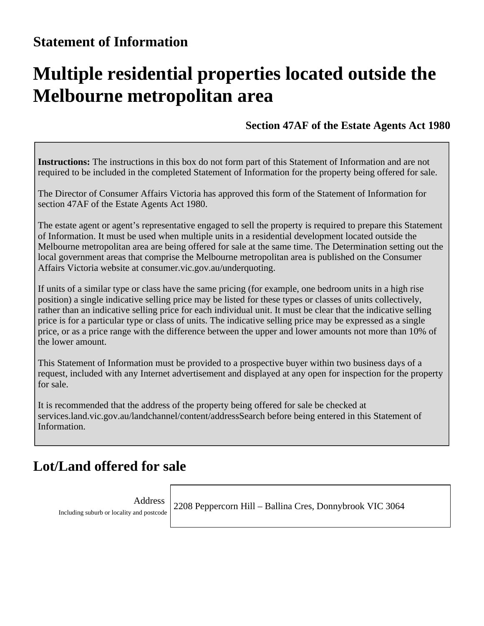# **Multiple residential properties located outside the Melbourne metropolitan area**

**Section 47AF of the Estate Agents Act 1980**

**Instructions:** The instructions in this box do not form part of this Statement of Information and are not required to be included in the completed Statement of Information for the property being offered for sale.

The Director of Consumer Affairs Victoria has approved this form of the Statement of Information for section 47AF of the Estate Agents Act 1980.

The estate agent or agent's representative engaged to sell the property is required to prepare this Statement of Information. It must be used when multiple units in a residential development located outside the Melbourne metropolitan area are being offered for sale at the same time. The Determination setting out the local government areas that comprise the Melbourne metropolitan area is published on the Consumer Affairs Victoria website at consumer.vic.gov.au/underquoting.

If units of a similar type or class have the same pricing (for example, one bedroom units in a high rise position) a single indicative selling price may be listed for these types or classes of units collectively, rather than an indicative selling price for each individual unit. It must be clear that the indicative selling price is for a particular type or class of units. The indicative selling price may be expressed as a single price, or as a price range with the difference between the upper and lower amounts not more than 10% of the lower amount.

This Statement of Information must be provided to a prospective buyer within two business days of a request, included with any Internet advertisement and displayed at any open for inspection for the property for sale.

It is recommended that the address of the property being offered for sale be checked at services.land.vic.gov.au/landchannel/content/addressSearch before being entered in this Statement of Information.

#### **Lot/Land offered for sale**

Address Including suburb or locality and postcode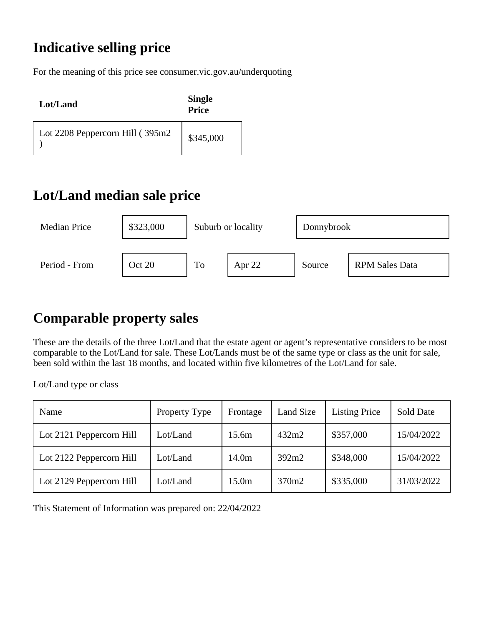For the meaning of this price see consumer.vic.gov.au/underquoting

| Lot/Land                        | <b>Single</b><br><b>Price</b> |
|---------------------------------|-------------------------------|
| Lot 2208 Peppercorn Hill (395m2 | \$345,000                     |

## **Lot/Land median sale price**



## **Comparable property sales**

These are the details of the three Lot/Land that the estate agent or agent's representative considers to be most comparable to the Lot/Land for sale. These Lot/Lands must be of the same type or class as the unit for sale, been sold within the last 18 months, and located within five kilometres of the Lot/Land for sale.

Lot/Land type or class

| Name                     | Property Type | Frontage          | Land Size         | <b>Listing Price</b> | Sold Date  |
|--------------------------|---------------|-------------------|-------------------|----------------------|------------|
| Lot 2121 Peppercorn Hill | Lot/Land      | 15.6m             | 432m2             | \$357,000            | 15/04/2022 |
| Lot 2122 Peppercorn Hill | Lot/Land      | 14.0 <sub>m</sub> | 392m2             | \$348,000            | 15/04/2022 |
| Lot 2129 Peppercorn Hill | Lot/Land      | 15.0 <sub>m</sub> | 370m <sub>2</sub> | \$335,000            | 31/03/2022 |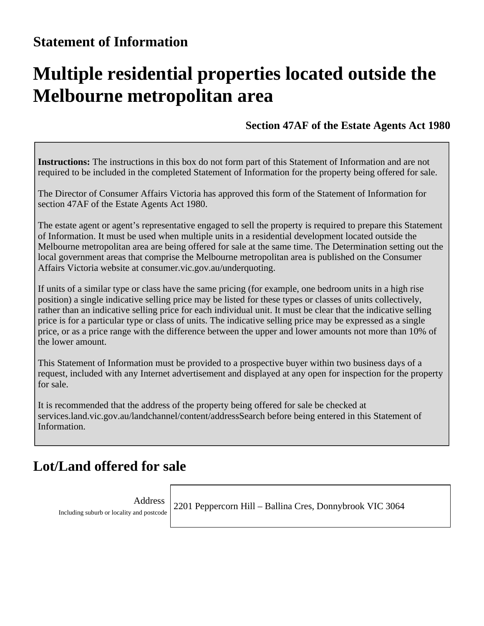# **Multiple residential properties located outside the Melbourne metropolitan area**

**Section 47AF of the Estate Agents Act 1980**

**Instructions:** The instructions in this box do not form part of this Statement of Information and are not required to be included in the completed Statement of Information for the property being offered for sale.

The Director of Consumer Affairs Victoria has approved this form of the Statement of Information for section 47AF of the Estate Agents Act 1980.

The estate agent or agent's representative engaged to sell the property is required to prepare this Statement of Information. It must be used when multiple units in a residential development located outside the Melbourne metropolitan area are being offered for sale at the same time. The Determination setting out the local government areas that comprise the Melbourne metropolitan area is published on the Consumer Affairs Victoria website at consumer.vic.gov.au/underquoting.

If units of a similar type or class have the same pricing (for example, one bedroom units in a high rise position) a single indicative selling price may be listed for these types or classes of units collectively, rather than an indicative selling price for each individual unit. It must be clear that the indicative selling price is for a particular type or class of units. The indicative selling price may be expressed as a single price, or as a price range with the difference between the upper and lower amounts not more than 10% of the lower amount.

This Statement of Information must be provided to a prospective buyer within two business days of a request, included with any Internet advertisement and displayed at any open for inspection for the property for sale.

It is recommended that the address of the property being offered for sale be checked at services.land.vic.gov.au/landchannel/content/addressSearch before being entered in this Statement of Information.

#### **Lot/Land offered for sale**

Address Including suburb or locality and postcode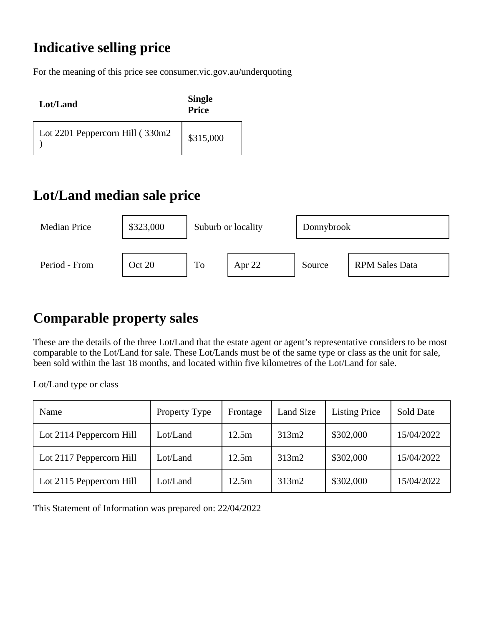For the meaning of this price see consumer.vic.gov.au/underquoting

| Lot/Land                         | <b>Single</b><br><b>Price</b> |
|----------------------------------|-------------------------------|
| Lot 2201 Peppercorn Hill (330m2) | \$315,000                     |

## **Lot/Land median sale price**



## **Comparable property sales**

These are the details of the three Lot/Land that the estate agent or agent's representative considers to be most comparable to the Lot/Land for sale. These Lot/Lands must be of the same type or class as the unit for sale, been sold within the last 18 months, and located within five kilometres of the Lot/Land for sale.

Lot/Land type or class

| Name                     | Property Type | Frontage | Land Size | <b>Listing Price</b> | Sold Date  |
|--------------------------|---------------|----------|-----------|----------------------|------------|
| Lot 2114 Peppercorn Hill | Lot/Land      | 12.5m    | 313m2     | \$302,000            | 15/04/2022 |
| Lot 2117 Peppercorn Hill | Lot/Land      | 12.5m    | 313m2     | \$302,000            | 15/04/2022 |
| Lot 2115 Peppercorn Hill | Lot/Land      | 12.5m    | 313m2     | \$302,000            | 15/04/2022 |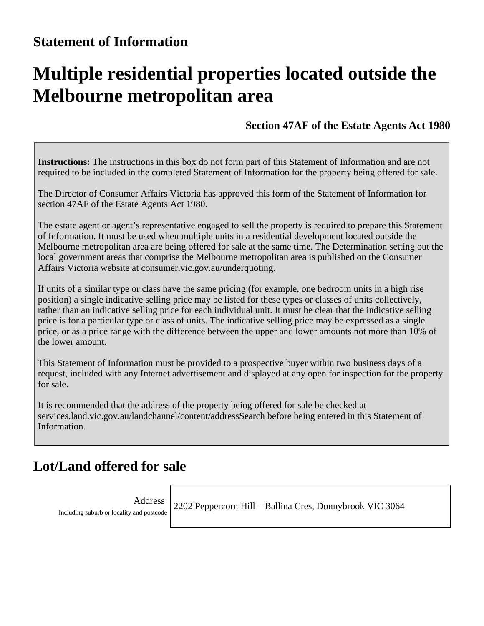# **Multiple residential properties located outside the Melbourne metropolitan area**

**Section 47AF of the Estate Agents Act 1980**

**Instructions:** The instructions in this box do not form part of this Statement of Information and are not required to be included in the completed Statement of Information for the property being offered for sale.

The Director of Consumer Affairs Victoria has approved this form of the Statement of Information for section 47AF of the Estate Agents Act 1980.

The estate agent or agent's representative engaged to sell the property is required to prepare this Statement of Information. It must be used when multiple units in a residential development located outside the Melbourne metropolitan area are being offered for sale at the same time. The Determination setting out the local government areas that comprise the Melbourne metropolitan area is published on the Consumer Affairs Victoria website at consumer.vic.gov.au/underquoting.

If units of a similar type or class have the same pricing (for example, one bedroom units in a high rise position) a single indicative selling price may be listed for these types or classes of units collectively, rather than an indicative selling price for each individual unit. It must be clear that the indicative selling price is for a particular type or class of units. The indicative selling price may be expressed as a single price, or as a price range with the difference between the upper and lower amounts not more than 10% of the lower amount.

This Statement of Information must be provided to a prospective buyer within two business days of a request, included with any Internet advertisement and displayed at any open for inspection for the property for sale.

It is recommended that the address of the property being offered for sale be checked at services.land.vic.gov.au/landchannel/content/addressSearch before being entered in this Statement of Information.

#### **Lot/Land offered for sale**

Address Including suburb or locality and postcode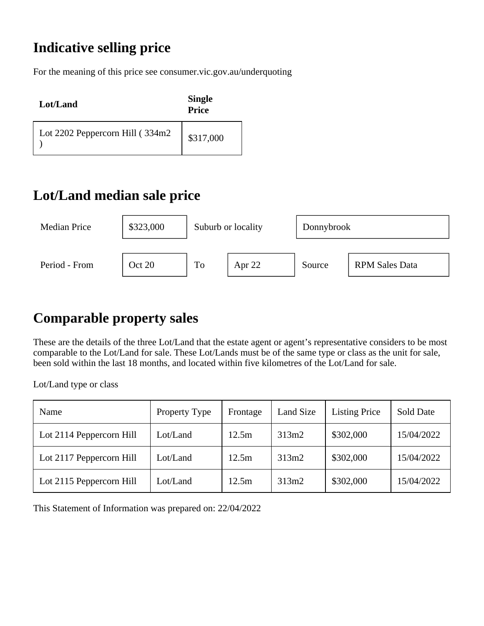For the meaning of this price see consumer.vic.gov.au/underquoting

| Lot/Land                         | <b>Single</b><br><b>Price</b> |
|----------------------------------|-------------------------------|
| Lot 2202 Peppercorn Hill (334m2) | \$317,000                     |

## **Lot/Land median sale price**



## **Comparable property sales**

These are the details of the three Lot/Land that the estate agent or agent's representative considers to be most comparable to the Lot/Land for sale. These Lot/Lands must be of the same type or class as the unit for sale, been sold within the last 18 months, and located within five kilometres of the Lot/Land for sale.

Lot/Land type or class

| Name                     | Property Type | Frontage | Land Size | <b>Listing Price</b> | Sold Date  |
|--------------------------|---------------|----------|-----------|----------------------|------------|
| Lot 2114 Peppercorn Hill | Lot/Land      | 12.5m    | 313m2     | \$302,000            | 15/04/2022 |
| Lot 2117 Peppercorn Hill | Lot/Land      | 12.5m    | 313m2     | \$302,000            | 15/04/2022 |
| Lot 2115 Peppercorn Hill | Lot/Land      | 12.5m    | 313m2     | \$302,000            | 15/04/2022 |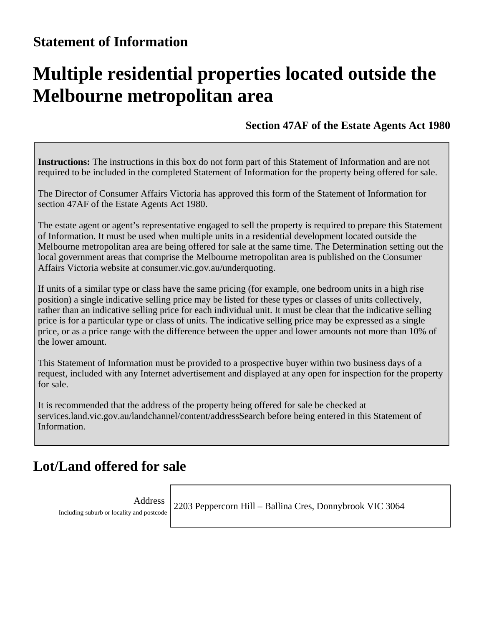# **Multiple residential properties located outside the Melbourne metropolitan area**

**Section 47AF of the Estate Agents Act 1980**

**Instructions:** The instructions in this box do not form part of this Statement of Information and are not required to be included in the completed Statement of Information for the property being offered for sale.

The Director of Consumer Affairs Victoria has approved this form of the Statement of Information for section 47AF of the Estate Agents Act 1980.

The estate agent or agent's representative engaged to sell the property is required to prepare this Statement of Information. It must be used when multiple units in a residential development located outside the Melbourne metropolitan area are being offered for sale at the same time. The Determination setting out the local government areas that comprise the Melbourne metropolitan area is published on the Consumer Affairs Victoria website at consumer.vic.gov.au/underquoting.

If units of a similar type or class have the same pricing (for example, one bedroom units in a high rise position) a single indicative selling price may be listed for these types or classes of units collectively, rather than an indicative selling price for each individual unit. It must be clear that the indicative selling price is for a particular type or class of units. The indicative selling price may be expressed as a single price, or as a price range with the difference between the upper and lower amounts not more than 10% of the lower amount.

This Statement of Information must be provided to a prospective buyer within two business days of a request, included with any Internet advertisement and displayed at any open for inspection for the property for sale.

It is recommended that the address of the property being offered for sale be checked at services.land.vic.gov.au/landchannel/content/addressSearch before being entered in this Statement of Information.

#### **Lot/Land offered for sale**

Address Including suburb or locality and postcode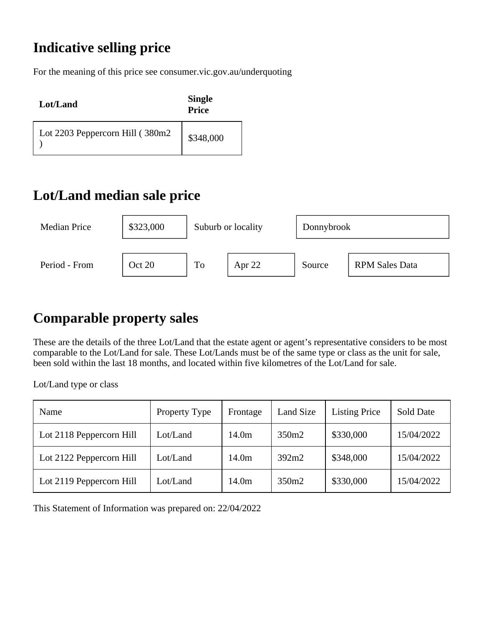For the meaning of this price see consumer.vic.gov.au/underquoting

| Lot/Land                         | <b>Single</b><br><b>Price</b> |
|----------------------------------|-------------------------------|
| Lot 2203 Peppercorn Hill (380m2) | \$348,000                     |

## **Lot/Land median sale price**



## **Comparable property sales**

These are the details of the three Lot/Land that the estate agent or agent's representative considers to be most comparable to the Lot/Land for sale. These Lot/Lands must be of the same type or class as the unit for sale, been sold within the last 18 months, and located within five kilometres of the Lot/Land for sale.

Lot/Land type or class

| Name                     | Property Type | Frontage          | Land Size         | <b>Listing Price</b> | Sold Date  |
|--------------------------|---------------|-------------------|-------------------|----------------------|------------|
| Lot 2118 Peppercorn Hill | Lot/Land      | 14.0 <sub>m</sub> | 350m <sub>2</sub> | \$330,000            | 15/04/2022 |
| Lot 2122 Peppercorn Hill | Lot/Land      | 14.0 <sub>m</sub> | 392m2             | \$348,000            | 15/04/2022 |
| Lot 2119 Peppercorn Hill | Lot/Land      | 14.0 <sub>m</sub> | 350m <sub>2</sub> | \$330,000            | 15/04/2022 |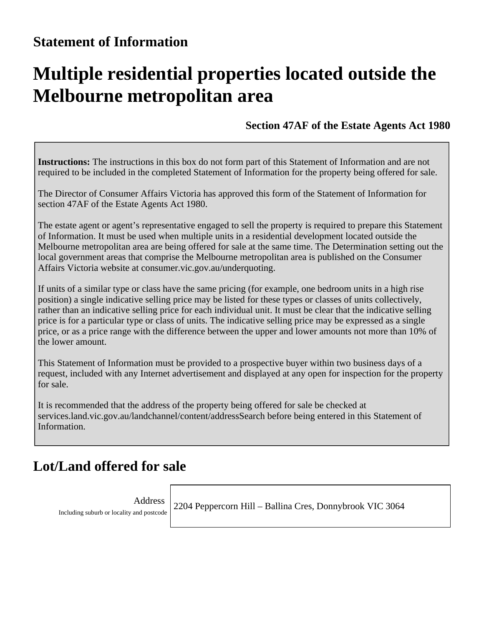# **Multiple residential properties located outside the Melbourne metropolitan area**

**Section 47AF of the Estate Agents Act 1980**

**Instructions:** The instructions in this box do not form part of this Statement of Information and are not required to be included in the completed Statement of Information for the property being offered for sale.

The Director of Consumer Affairs Victoria has approved this form of the Statement of Information for section 47AF of the Estate Agents Act 1980.

The estate agent or agent's representative engaged to sell the property is required to prepare this Statement of Information. It must be used when multiple units in a residential development located outside the Melbourne metropolitan area are being offered for sale at the same time. The Determination setting out the local government areas that comprise the Melbourne metropolitan area is published on the Consumer Affairs Victoria website at consumer.vic.gov.au/underquoting.

If units of a similar type or class have the same pricing (for example, one bedroom units in a high rise position) a single indicative selling price may be listed for these types or classes of units collectively, rather than an indicative selling price for each individual unit. It must be clear that the indicative selling price is for a particular type or class of units. The indicative selling price may be expressed as a single price, or as a price range with the difference between the upper and lower amounts not more than 10% of the lower amount.

This Statement of Information must be provided to a prospective buyer within two business days of a request, included with any Internet advertisement and displayed at any open for inspection for the property for sale.

It is recommended that the address of the property being offered for sale be checked at services.land.vic.gov.au/landchannel/content/addressSearch before being entered in this Statement of Information.

#### **Lot/Land offered for sale**

Address Including suburb or locality and postcode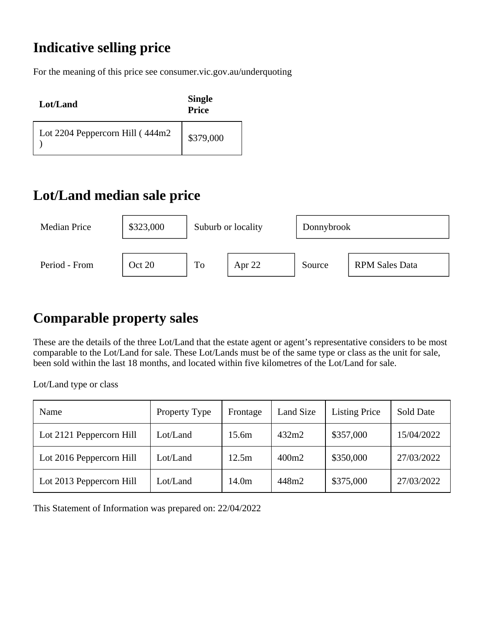For the meaning of this price see consumer.vic.gov.au/underquoting

| Lot/Land                        | <b>Single</b><br><b>Price</b> |
|---------------------------------|-------------------------------|
| Lot 2204 Peppercorn Hill (444m2 | \$379,000                     |

## **Lot/Land median sale price**



## **Comparable property sales**

These are the details of the three Lot/Land that the estate agent or agent's representative considers to be most comparable to the Lot/Land for sale. These Lot/Lands must be of the same type or class as the unit for sale, been sold within the last 18 months, and located within five kilometres of the Lot/Land for sale.

Lot/Land type or class

| Name                     | Property Type | Frontage          | Land Size         | <b>Listing Price</b> | Sold Date  |
|--------------------------|---------------|-------------------|-------------------|----------------------|------------|
| Lot 2121 Peppercorn Hill | Lot/Land      | 15.6m             | 432m2             | \$357,000            | 15/04/2022 |
| Lot 2016 Peppercorn Hill | Lot/Land      | 12.5m             | 400m <sub>2</sub> | \$350,000            | 27/03/2022 |
| Lot 2013 Peppercorn Hill | Lot/Land      | 14.0 <sub>m</sub> | 448m2             | \$375,000            | 27/03/2022 |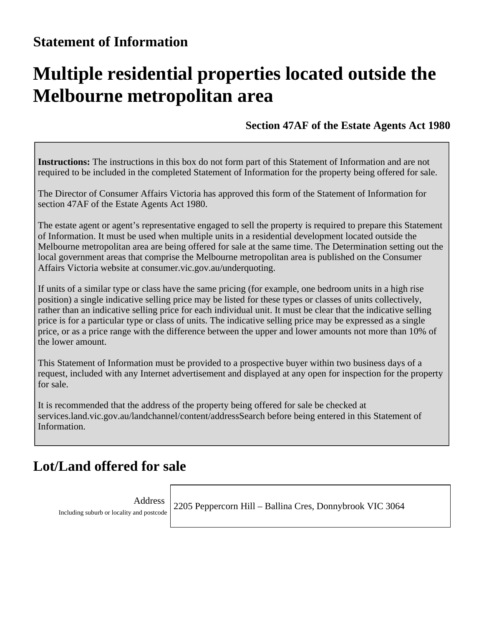# **Multiple residential properties located outside the Melbourne metropolitan area**

**Section 47AF of the Estate Agents Act 1980**

**Instructions:** The instructions in this box do not form part of this Statement of Information and are not required to be included in the completed Statement of Information for the property being offered for sale.

The Director of Consumer Affairs Victoria has approved this form of the Statement of Information for section 47AF of the Estate Agents Act 1980.

The estate agent or agent's representative engaged to sell the property is required to prepare this Statement of Information. It must be used when multiple units in a residential development located outside the Melbourne metropolitan area are being offered for sale at the same time. The Determination setting out the local government areas that comprise the Melbourne metropolitan area is published on the Consumer Affairs Victoria website at consumer.vic.gov.au/underquoting.

If units of a similar type or class have the same pricing (for example, one bedroom units in a high rise position) a single indicative selling price may be listed for these types or classes of units collectively, rather than an indicative selling price for each individual unit. It must be clear that the indicative selling price is for a particular type or class of units. The indicative selling price may be expressed as a single price, or as a price range with the difference between the upper and lower amounts not more than 10% of the lower amount.

This Statement of Information must be provided to a prospective buyer within two business days of a request, included with any Internet advertisement and displayed at any open for inspection for the property for sale.

It is recommended that the address of the property being offered for sale be checked at services.land.vic.gov.au/landchannel/content/addressSearch before being entered in this Statement of Information.

#### **Lot/Land offered for sale**

Address Including suburb or locality and postcode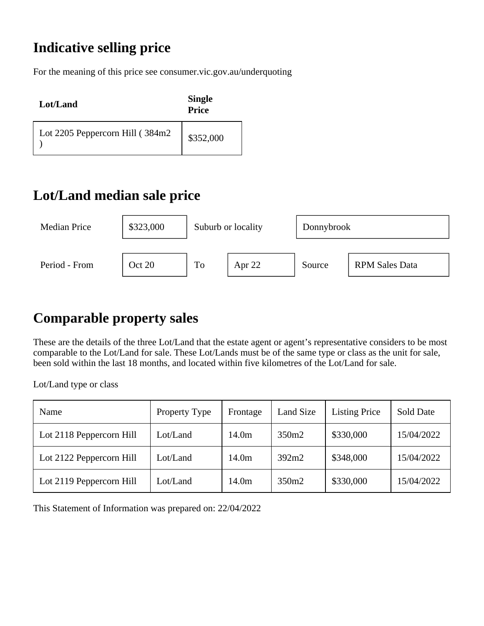For the meaning of this price see consumer.vic.gov.au/underquoting

| Lot/Land                        | <b>Single</b><br><b>Price</b> |
|---------------------------------|-------------------------------|
| Lot 2205 Peppercorn Hill (384m2 | \$352,000                     |

## **Lot/Land median sale price**



## **Comparable property sales**

These are the details of the three Lot/Land that the estate agent or agent's representative considers to be most comparable to the Lot/Land for sale. These Lot/Lands must be of the same type or class as the unit for sale, been sold within the last 18 months, and located within five kilometres of the Lot/Land for sale.

Lot/Land type or class

| Name                     | Property Type | Frontage          | Land Size         | <b>Listing Price</b> | Sold Date  |
|--------------------------|---------------|-------------------|-------------------|----------------------|------------|
| Lot 2118 Peppercorn Hill | Lot/Land      | 14.0 <sub>m</sub> | 350m <sub>2</sub> | \$330,000            | 15/04/2022 |
| Lot 2122 Peppercorn Hill | Lot/Land      | 14.0 <sub>m</sub> | 392m2             | \$348,000            | 15/04/2022 |
| Lot 2119 Peppercorn Hill | Lot/Land      | 14.0 <sub>m</sub> | 350m <sub>2</sub> | \$330,000            | 15/04/2022 |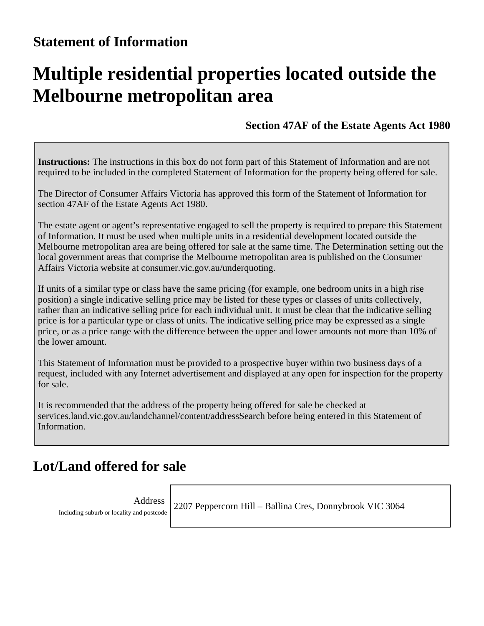# **Multiple residential properties located outside the Melbourne metropolitan area**

**Section 47AF of the Estate Agents Act 1980**

**Instructions:** The instructions in this box do not form part of this Statement of Information and are not required to be included in the completed Statement of Information for the property being offered for sale.

The Director of Consumer Affairs Victoria has approved this form of the Statement of Information for section 47AF of the Estate Agents Act 1980.

The estate agent or agent's representative engaged to sell the property is required to prepare this Statement of Information. It must be used when multiple units in a residential development located outside the Melbourne metropolitan area are being offered for sale at the same time. The Determination setting out the local government areas that comprise the Melbourne metropolitan area is published on the Consumer Affairs Victoria website at consumer.vic.gov.au/underquoting.

If units of a similar type or class have the same pricing (for example, one bedroom units in a high rise position) a single indicative selling price may be listed for these types or classes of units collectively, rather than an indicative selling price for each individual unit. It must be clear that the indicative selling price is for a particular type or class of units. The indicative selling price may be expressed as a single price, or as a price range with the difference between the upper and lower amounts not more than 10% of the lower amount.

This Statement of Information must be provided to a prospective buyer within two business days of a request, included with any Internet advertisement and displayed at any open for inspection for the property for sale.

It is recommended that the address of the property being offered for sale be checked at services.land.vic.gov.au/landchannel/content/addressSearch before being entered in this Statement of Information.

#### **Lot/Land offered for sale**

Address Including suburb or locality and postcode